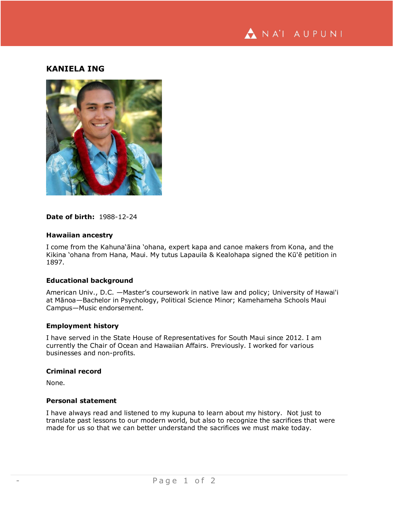

# **KANIELA ING**



## **Date of birth:** 1988-12-24

#### **Hawaiian ancestry**

I come from the Kahuna'āina 'ohana, expert kapa and canoe makers from Kona, and the Kikina 'ohana from Hana, Maui. My tutus Lapauila & Kealohapa signed the Kū'ē petition in 1897.

#### **Educational background**

American Univ., D.C. —Master's coursework in native law and policy; University of Hawai'i at Mānoa—Bachelor in Psychology, Political Science Minor; Kamehameha Schools Maui Campus—Music endorsement.

## **Employment history**

I have served in the State House of Representatives for South Maui since 2012. I am currently the Chair of Ocean and Hawaiian Affairs. Previously. I worked for various businesses and non-profits.

#### **Criminal record**

None.

#### **Personal statement**

I have always read and listened to my kupuna to learn about my history. Not just to translate past lessons to our modern world, but also to recognize the sacrifices that were made for us so that we can better understand the sacrifices we must make today.